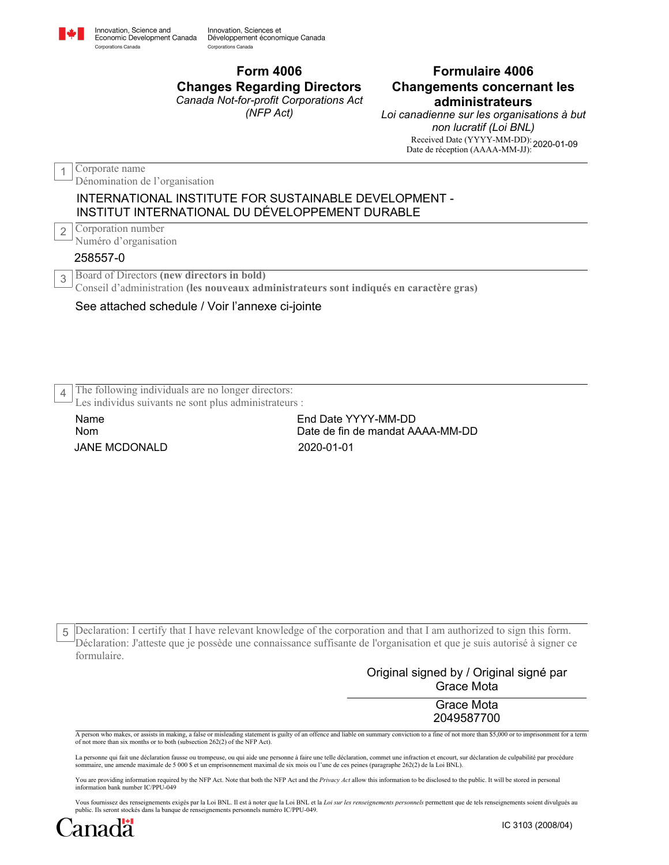

Conseil d'administration **(les nouveaux administrateurs sont indiqués en caractère gras)**

## See attached schedule / Voir l'annexe ci-jointe

The following individuals are no longer directors: 4

Les individus suivants ne sont plus administrateurs :

JANE MCDONALD 2020-01-01 Name Nom

End Date YYYY-MM-DD Date de fin de mandat AAAA-MM-DD

Declaration: I certify that I have relevant knowledge of the corporation and that I am authorized to sign this form. 5 Déclaration: J'atteste que je possède une connaissance suffisante de l'organisation et que je suis autorisé à signer ce formulaire.

> Original signed by / Original signé par Grace Mota

> > Grace Mota 2049587700

A person who makes, or assists in making, a false or misleading statement is guilty of an offence and liable on summary conviction to a fine of not more than \$5,000 or to imprisonment for a term of not more than six months or to both (subsection 262(2) of the NFP Act).

La personne qui fait une déclaration fausse ou trompeuse, ou qui aide une personne à faire une telle déclaration, commet une infraction et encourt, sur déclaration de culpabilité par procédure<br>sommaire, une amende maximale

You are providing information required by the NFP Act. Note that both the NFP Act and the *Privacy Act* allow this information to be disclosed to the public. It will be stored in personal<br>information bank number IC/PPU-049

Vous fournissez des renseignements exigés par la Loi BNL. Il est à noter que la Loi BNL et la *Loi sur les renseignements personnels* permettent que de tels renseignements soient divulgués au public. Ils seront stockés dans la banque de renseignements personnels numéro IC/PPU-049.

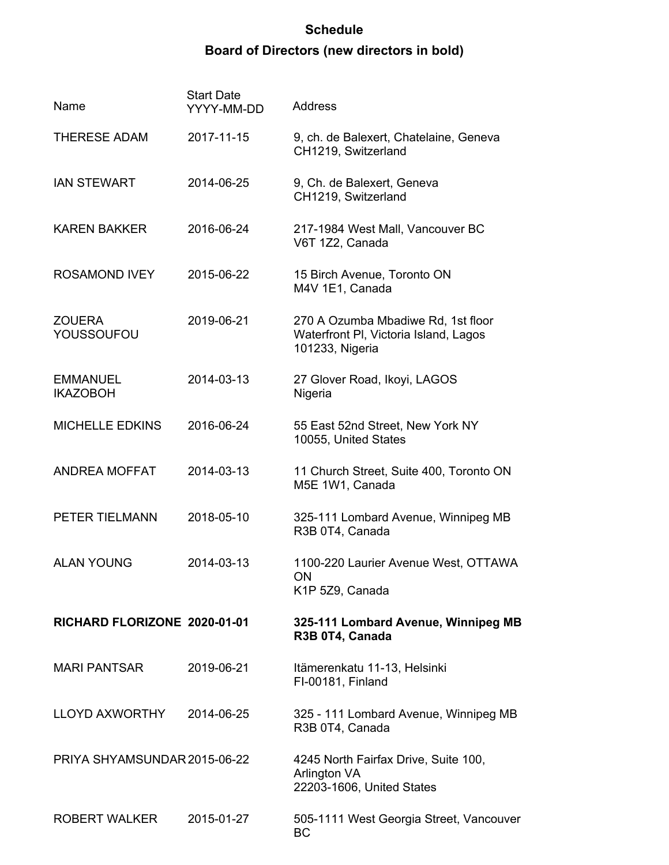## **Schedule Board of Directors (new directors in bold)**

| Name                               | <b>Start Date</b><br>YYYY-MM-DD | <b>Address</b>                                                                                 |
|------------------------------------|---------------------------------|------------------------------------------------------------------------------------------------|
| <b>THERESE ADAM</b>                | 2017-11-15                      | 9, ch. de Balexert, Chatelaine, Geneva<br>CH1219, Switzerland                                  |
| <b>IAN STEWART</b>                 | 2014-06-25                      | 9, Ch. de Balexert, Geneva<br>CH1219, Switzerland                                              |
| <b>KAREN BAKKER</b>                | 2016-06-24                      | 217-1984 West Mall, Vancouver BC<br>V6T 1Z2, Canada                                            |
| <b>ROSAMOND IVEY</b>               | 2015-06-22                      | 15 Birch Avenue, Toronto ON<br>M4V 1E1, Canada                                                 |
| ZOUERA<br>YOUSSOUFOU               | 2019-06-21                      | 270 A Ozumba Mbadiwe Rd, 1st floor<br>Waterfront PI, Victoria Island, Lagos<br>101233, Nigeria |
| <b>EMMANUEL</b><br><b>IKAZOBOH</b> | 2014-03-13                      | 27 Glover Road, Ikoyi, LAGOS<br>Nigeria                                                        |
| <b>MICHELLE EDKINS</b>             | 2016-06-24                      | 55 East 52nd Street, New York NY<br>10055, United States                                       |
| ANDREA MOFFAT                      | 2014-03-13                      | 11 Church Street, Suite 400, Toronto ON<br>M5E 1W1, Canada                                     |
| PETER TIELMANN                     | 2018-05-10                      | 325-111 Lombard Avenue, Winnipeg MB<br>R3B 0T4, Canada                                         |
| <b>ALAN YOUNG</b>                  | 2014-03-13                      | 1100-220 Laurier Avenue West, OTTAWA<br><b>ON</b><br>K1P 5Z9, Canada                           |
| RICHARD FLORIZONE 2020-01-01       |                                 | 325-111 Lombard Avenue, Winnipeg MB<br>R3B 0T4, Canada                                         |
| MARI PANTSAR                       | 2019-06-21                      | Itämerenkatu 11-13, Helsinki<br>FI-00181, Finland                                              |
| <b>LLOYD AXWORTHY</b>              | 2014-06-25                      | 325 - 111 Lombard Avenue, Winnipeg MB<br>R3B 0T4, Canada                                       |
| PRIYA SHYAMSUNDAR 2015-06-22       |                                 | 4245 North Fairfax Drive, Suite 100,<br>Arlington VA<br>22203-1606, United States              |
| ROBERT WALKER                      | 2015-01-27                      | 505-1111 West Georgia Street, Vancouver<br><b>BC</b>                                           |